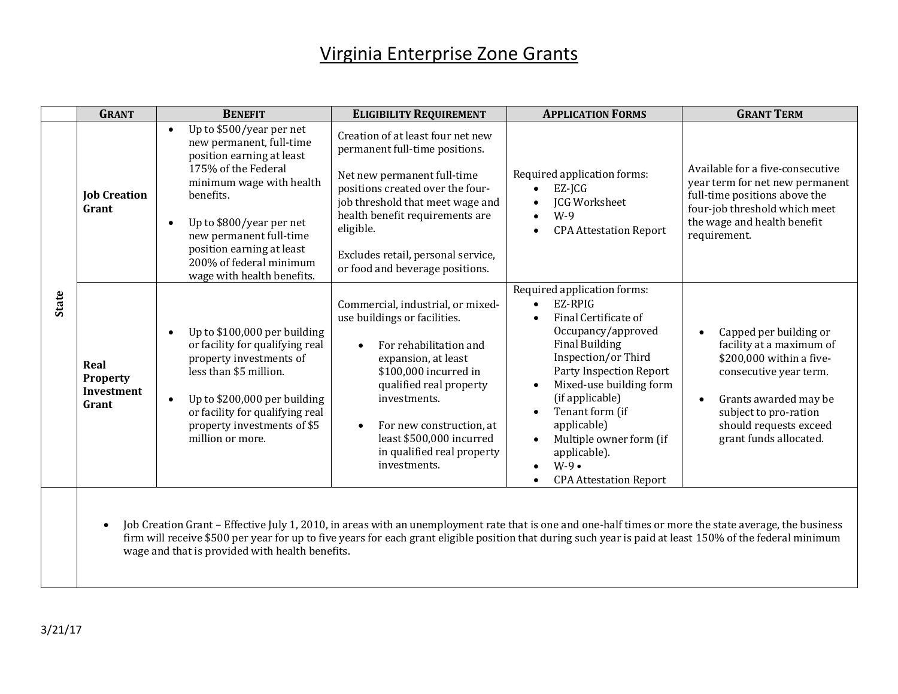## Virginia Enterprise Zone Grants

|              | <b>GRANT</b>                                          | <b>BENEFIT</b>                                                                                                                                                                                                                                                                                                                                                                       | <b>ELIGIBILITY REQUIREMENT</b>                                                                                                                                                                                                                                                                      | <b>APPLICATION FORMS</b>                                                                                                                                                                                                                                                                                                             | <b>GRANT TERM</b>                                                                                                                                                                                                                        |
|--------------|-------------------------------------------------------|--------------------------------------------------------------------------------------------------------------------------------------------------------------------------------------------------------------------------------------------------------------------------------------------------------------------------------------------------------------------------------------|-----------------------------------------------------------------------------------------------------------------------------------------------------------------------------------------------------------------------------------------------------------------------------------------------------|--------------------------------------------------------------------------------------------------------------------------------------------------------------------------------------------------------------------------------------------------------------------------------------------------------------------------------------|------------------------------------------------------------------------------------------------------------------------------------------------------------------------------------------------------------------------------------------|
|              | <b>Job Creation</b><br>Grant                          | Up to \$500/year per net<br>new permanent, full-time<br>position earning at least<br>175% of the Federal<br>minimum wage with health<br>benefits.<br>Up to \$800/year per net<br>new permanent full-time<br>position earning at least<br>200% of federal minimum<br>wage with health benefits.                                                                                       | Creation of at least four net new<br>permanent full-time positions.<br>Net new permanent full-time<br>positions created over the four-<br>job threshold that meet wage and<br>health benefit requirements are<br>eligible.<br>Excludes retail, personal service,<br>or food and beverage positions. | Required application forms:<br>$EZ$ -JCG<br>JCG Worksheet<br>$W-9$<br><b>CPA Attestation Report</b>                                                                                                                                                                                                                                  | Available for a five-consecutive<br>year term for net new permanent<br>full-time positions above the<br>four-job threshold which meet<br>the wage and health benefit<br>requirement.                                                     |
| <b>State</b> | Real<br><b>Property</b><br><b>Investment</b><br>Grant | Up to \$100,000 per building<br>or facility for qualifying real<br>property investments of<br>less than \$5 million.<br>Up to \$200,000 per building<br>or facility for qualifying real<br>property investments of \$5<br>million or more.                                                                                                                                           | Commercial, industrial, or mixed-<br>use buildings or facilities.<br>For rehabilitation and<br>expansion, at least<br>\$100,000 incurred in<br>qualified real property<br>investments.<br>For new construction, at<br>least \$500,000 incurred<br>in qualified real property<br>investments.        | Required application forms:<br>EZ-RPIG<br>Final Certificate of<br>Occupancy/approved<br><b>Final Building</b><br>Inspection/or Third<br>Party Inspection Report<br>Mixed-use building form<br>(if applicable)<br>Tenant form (if<br>applicable)<br>Multiple owner form (if<br>applicable).<br>$W-9$<br><b>CPA Attestation Report</b> | Capped per building or<br>$\bullet$<br>facility at a maximum of<br>\$200,000 within a five-<br>consecutive year term.<br>Grants awarded may be<br>$\bullet$<br>subject to pro-ration<br>should requests exceed<br>grant funds allocated. |
|              |                                                       | $\overline{a}$ $\overline{b}$ $\overline{c}$ $\overline{c}$ $\overline{c}$ $\overline{c}$ $\overline{c}$ $\overline{c}$ $\overline{c}$ $\overline{c}$ $\overline{c}$ $\overline{c}$ $\overline{c}$ $\overline{c}$ $\overline{c}$ $\overline{c}$ $\overline{c}$ $\overline{c}$ $\overline{c}$ $\overline{c}$ $\overline{c}$ $\overline{c}$ $\overline{c}$ $\overline{c}$ $\overline{$ |                                                                                                                                                                                                                                                                                                     |                                                                                                                                                                                                                                                                                                                                      |                                                                                                                                                                                                                                          |

 Job Creation Grant – Effective July 1, 2010, in areas with an unemployment rate that is one and one-half times or more the state average, the business firm will receive \$500 per year for up to five years for each grant eligible position that during such year is paid at least 150% of the federal minimum wage and that is provided with health benefits.